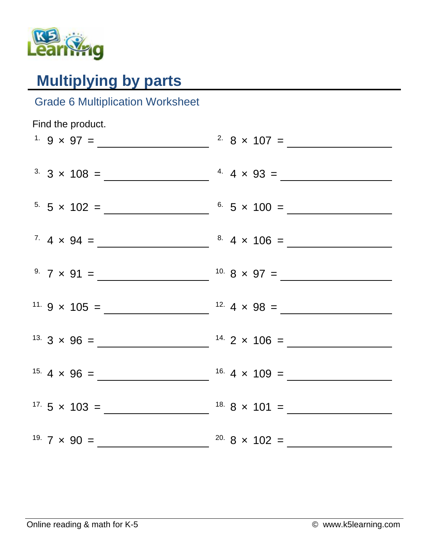

## **Multiplying by parts**

## Grade 6 Multiplication Worksheet

| Find the product.             |                                |
|-------------------------------|--------------------------------|
| <sup>1.</sup> 9 $\times$ 97 = | <sup>2.</sup> 8 $\times$ 107 = |
|                               |                                |
|                               |                                |
|                               |                                |
| $5.5 \times 102 =$            | $6.5 \times 100 =$             |
|                               |                                |
|                               |                                |
|                               |                                |
|                               |                                |
|                               |                                |
|                               |                                |
|                               |                                |
|                               |                                |
|                               |                                |
|                               |                                |
|                               |                                |
|                               |                                |